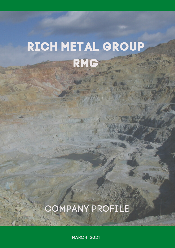# RICH METAL GROUP RMG

# COMPANY PROFILE

MARCH, 2021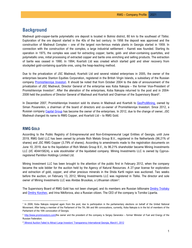# **Background**

Madneuli gold-copper-barite polymetallic ore deposit is located in Bolnisi district, 80 km to the southeast of Tbilisi. Exploration of the ore deposit started in the 40s of the last century. In 1956 the deposit was approved and the construction of Madneuli Complex – one of the largest non-ferrous metals plants in Georgia started in 1959. In connection with the construction of the complex, a large industrial settlement – Kazreti was founded. Starting its operation in 1975, the complex was used for extracting copper, barite, gold- and silver-containing quartzites, and polymetallic ores, initial processing of extracted copper and barite ores enriching and selling products. The extraction of barite was ceased in 1990. In 1994, Kvartsiti Ltd was created which started gold and silver recovery from stockpiled gold-containing quartzite ores, using the heap-leaching method.

Due to the privatization of JSC Madneuli, Kvartsiti Ltd and several related enterprises in 2005, the owner of the enterprises became Stanton Equities Corporation, registered in the British Virgin Islands, a subsidiary of the Russian company [Promishlenniye Investori.](http://www.industrial-investors.com/) It should be noted that from October 2004 to the date of announcement of the privatization of JSC Madneuli, Director General of the enterprise was Koba Nakopia – the former Vice-President of Promishlenniye Investori<sup>[1](#page-1-0)</sup>. After the alienation of the enterprises, Koba Nakopia returned to the post and in 2004-[2](#page-1-1)008 held the positions of Director General of Madneuli and Kvartsiti and Chairman of the Supervisory Board<sup>2</sup>.

In December 2007, Promishlenniye Investori sold its shares in Madneuli and Kvartsiti to [GeoProMining,](https://www.geopromining.com/) owned by Siman Povarenkin, a chairman of the board of directors and co-owner of Promishlenniye Investori. Since 2012, a Russian company [Capital](https://capitalgroup.ru/) Group has become the owner of the enterprises. In 2012, due to the change of owner, JSC Madneuli changed its name to RMG Copper, and Kvartsiti Ltd – to RMG Gold.

### **RMG GOLD**

According to the Public Registry of Entrepreneurial and Non-Entrepreneurial Legal Entities of Georgia, until June 2019, RMG Gold LLC has been owned by private Rich Metals Group B.V., registered in the Netherlands (96.21% of shares) and JSC RMG Copper (3.79% of shares). According to amendments made to the registration documents on June 10, 2019, due to the liquidation of Rich Metals Group B.V., its 96.21% shareholder became Mining Investments LLC (I/C 404415824), a sole stockholder of the liquidated company. Mining Investments LLC is owned by Cyprusregistered Pamtilon Holdings Limited Ltd.

Mining Investment LLC has been brought to the attention of the public first in February 2012, when the company became the sole bidder for the auction held by the Agency of Natural Resources. A 27-year license for exploration and extraction of gold, copper, and other precious minerals in the Shida Kartli region was auctioned. Two weeks before the auction, on February 13, 2012, Mining Investments LLC was registered in Tbilisi. The director and sole owner of Mining Investments LLC was Alvidas Brusokas, a Lithuanian citizen<sup>[3](#page-1-2)</sup>.

The Supervisory Board of RMG Gold has not been changed, and its members are Russian billionaire [Dmitry Troitsky](https://www.forbes.com/profile/dmitry-troitsky/#18c8b3484237) and **Dmitry Korzhev**, and Irina Nikiforova, also a Russian citizen. The CEO of the company is Tornike Lipartia.

<span id="page-1-0"></span><sup>&</sup>lt;sup>1</sup> In 2008, Koba Nakopia resigned again from the post, due to participation in the parliamentary elections on behalf of the United National Movement. After being a member of the Parliament of the 7th, 8th and 9th convocations, currently, Koba Nakopia is in the list of members of the Parliament of the 10th convocation of Georgia.

<span id="page-1-1"></span> $2$  [http://www.prominvestors.com/t](http://www.prominvestors.com/)he owner and the president of the company is Sergey Generalov – former Minister of Fuel and Energy of the Russian Federation.

<span id="page-1-2"></span><sup>&</sup>lt;sup>3</sup><sup>6</sup> Mineral Auction Failed to Attract Large Investors' Transparency International Georgia, March1, 2012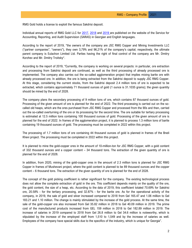RMG Gold holds a license to exploit the famous Sakdrisi deposit.

Individual annual reports of RMG Gold LLC for [2017,](https://reportal.ge/RpFileHandler.ashx?sys=1123) [2018](https://reportal.ge/RpFileHandler.ashx?sys=10247) and [2019](https://reportal.ge/RpFileHandler.ashx?sys=17104) are published on the website of the Service for Accounting, Reporting, and Audit Supervision (SARAS) in Georgian and English languages.

According to the report of 2019, "the owners of the company are JSC RMG Copper and Mining Investments LLC ("partner companies", "owners"), they own 3,79% and 96,21% of the company's capital; respectively, the ultimate parent company is Eulachon Limited Ltd. Parties having the right of final control of the company are Mr. Dmitry Korzhev and Mr. Dmitry Troitsky".

According to the report of 2019, "Currently, the company is working on several projects: in particular, ore extraction and processing from Sakdrisi deposit are continued, as well as the third processing of already processed ore is implemented. The company also carries out the so-called agglomeration project that implies mixing barite ore with already processed ore. In addition, the ore is being extracted from the Sakdrisi deposit to supply JSC RMG Copper. At this stage, considering the current stocks, from the Sakdrisi deposit 2.4 million tons of ore is expected to be extracted, which contains approximately 71 thousand ounces of gold (1 ounce is 31.1035 grams); the given quantity should be mined by the end of 2028.

The company plans the secondary processing of 9 million tons of ore, which contains 87 thousand ounces of gold. Processing of the given amount of ore is planned for the end of 2022. The third processing is carried out on the socalled old heaps, which are the ores purchased from JSC RMG Copper and processed from the 90s and then, carried out the so-called overturning of the ore or its processing for the second time. The ore suitable for tertiary processing is estimated at 12.5 million tons containing 100 thousand ounces of gold. Processing of the given amount of ore is planned for the end of 2022. In frames of the agglomeration project, it is planned to process 1.3 million tons of barite containing 19 thousand ounces of gold. The processing must be completed in 2022 within this project.

The processing of 1.7 million tons of ore containing 44 thousand ounces of gold is planned in frames of the Bneli Khevi project. The processing must be completed in 2022 within this project.

It is planned to mine the gold-copper ores in the amount of 10-million-ton for JSC RMG Copper, with a gold content of 332 thousand ounces and a copper content – 34 thousand tons. The extraction of the given quantity of ore is planned for the end of 2028.

In addition, from 2020, mining of the gold-copper ores in the amount of 2.3 million tons is planned for JSC RMG Copper in frames of Mushevani project, where the gold content is planned to be 89 thousand ounces and the copper content – 6 thousand tons. The extraction of the given quantity of ore is planned for the end of 2028.

The concept of the gold picking coefficient is rather significant for the company. The existing technological process does not allow the complete extraction of gold in the ore. This coefficient depends mainly on the quality of the ore, the gold content, the size of a heap, etc. According to the data of 2019, this coefficient totaled 70.69% for Sakdrisi ore, 20.58% - for the tertiary processing, and 32.87% - for the barite ore. As for the operational activity of the company, in 2019, the sale of gold and silver increased compared to 2018 from Gel 165.47 and 1.06 million to Gel 183.21 and 1.10 million. The change is mainly stimulated by the increase of the gold process. At the same time, the sale of the gold-copper ore also increased from Gel 35.82 million in 2018 to Gel 40.09 million in 2019. The prime cost of the manufactured products increased from GEL 159 million in 2018 to Gel 182.89 million in 2019. The increase of salaries in 2019 compared to 2018 from Gel 26.8 million to Gel 34.6 million is noteworthy, which is stipulated by the increase of the employed staff from 1,510 to 1,549 and by the increase of salaries as well. Employees of the company have special skills due to the specifics of the industry, which is unique for Georgia".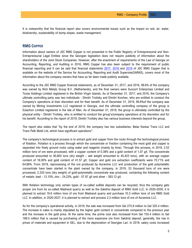It is noteworthy that the financial report also covers environmental issues such as the impact on soil, air, water, biodiversity, sustainability of dump slopes, waste management.

### **RMG COPPER**

Information about owners of JSC RMG Copper is not presented in the Public Registry of Entrepreneurial and Non-Entrepreneurial Legal Entities since the Georgian legislation does not require publicity of information about the shareholders of the Joint Stock Companies. However, after the enactment of requirements of the Law of Georgia on Accounting, Reporting, and Auditing in 2016, RMG Copper has also been subject to the requirement of public financial reporting and it can be said that financial statements [2017,](https://reportal.ge/RpFileHandler.ashx?sys=1118) [2018](https://reportal.ge/RpFileHandler.ashx?sys=20421) and [2019](https://reportal.ge/RpFileHandler.ashx?sys=19304) of JSC RMG Copper that is available on the website of the Service for Accounting, Reporting and Audit Supervise(SARAS), covers most of the information about the company owners that have so far been made publicly available.

According to the JSC RMG Copper financial statements, as of December 31, 2017, and 2016, 99.6% of the company was owned by Rich Metals Group B.V. (Netherlands), and the final owners were Suncort Enterprises Limited and Ticola Holdings Limited registered in the British Virgin Islands. As of December 31, 2017, and 2016, the Company's ultimate controlling party was two individuals - Dimitri Troitsky and Dimitri Korzhev, who are entitled to conduct the Company's operations at their discretion and for their benefit. As of December 31, 2019, 99.6%of the company was owned by Mining Investments LLC registered in Georgia, and the ultimate controlling company of the group is Eulachon Limited registered in the Isle of Man. As of December 31, 2019, the group is ultimately controlled by the physical entity - Dimitri Troitsky, who is entitled to conduct the group's/company operations at his discretion and for his benefit. According to the report of 2019, Dimitri Troitsky also has various business interests beyond the group.

The report also states that "by the end of 2019, the company has two subsidiaries: Belaz Kavkaz Trans LLC and Trans Petk Mzidi Ltd, which have significant operations".

The company's technological process is to extract gold and copper from the rocks through the technological process of flotation. Flotation is a process through which the concentrate or fraction containing the most gold and copper is separated into finely ground rocks using water and reagents (mainly by lime). Through this process, in 2019, 2.52 million tons of ore were processed, with a copper content of 0.38% and a gold content of 1.07 g/t. The concentrate produced amounted to 40,803 tons (dry weight – wet weight amounted to 45,423 tons), with an average copper content of 16.00% and gold content of 41.57 g/t. Copper and gold ore extraction coefficients were 70.71% and 64,86%. From 2019, reprocessing of the ore produced by Auramine LLC and production of the gold polymetallic concentrate have been started in the plant owned by the company, in 2019, 33 thousand tons of ore were processed, 2,333 tons (dry weight) of gold-polymetallic concentrate was produced, containing the following content of metals: lead - 13.10%, zinc - 24,23%, gold - 57.87 g/t and silver - 383.12 g/t.

With flotation technology only certain types of so-called sulfide deposits can be recycled, thus the company gets proper ore from its so-called Madneuli quarry as well as the Sakdrisi deposit of RMG Gold LLC. In 2020-2028, it is planned to extract 16.6 million tons of ore from Madneuli quarry and purchase 10.3 million tons of ore RMG Gold LLC. In addition, in 2020-2027, it is planned to extract and process 2,3 million tons of ore of Auramine LLC.

As for the company's operational activity, in 2019, the sale was increased from Gel 275.8 million to Gel 325.4 million. The increase in sales is mainly stipulated by the higher gold content in concentrate compared to the previous year and the increase in the gold price. At the same time, the prime cost also increased from Gel 155.4 million to Gel 189.5 million that is caused by purchasing of the more expensive ore from Sakdrisi deposit, generally, the rise in prices of materials and equipment in GEL, due to the depreciation of Georgian Lari. In 2019, salary costs increased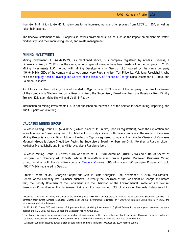from Gel 34.8 million to Gel 45.3, mainly due to the increased number of employees from 1,763 to 1,854, as well as raise their salaries.

The financial statement of RMG Copper also covers environmental issues such as the impact on ambient air, water, biodiversity, and their monitoring, noise, and waste management.

# **MINING INVESTMENTS**

Mining Investment LLC (404415824), as mentioned above, is a company registered by Alvidas Brusokas, a Lithuanian citizen, in 2012. Over the years, various types of changes have been made within the company. In 2015, Mining Investments LLC merged with Mining Developments – Georgia LLC[4](#page-4-0) owned by the same company (404944414). CEOs of the company at various times were Russian citizen Yuri Pilipenko, Vakhtang Faresishvili<sup>[5](#page-4-1)</sup>, who has been [deputy Head of Investigation Service of the Ministry of Finance of Georgia](http://is.ge/en-us/About-Us/Head-and-Deputy-Heads-of-Service/Deputy-Head-of-Investigation-Service-Vakhtang-Paresishvili) since December 11, 2018, and Solomon Tsabadze.

As of today, Pamtilon Holdings Limited founded in Cyprus owns 100% shares of the company. The Director-General of the company is Vladimir Petrov, a Russian citizen; the Supervisory Board members are Russian citizen Dimitry Troitsky, Kakhaber Mchedlishvili, and Vladimir Petrov.

Information on Mining Investments LLC is not published on the website of the Service for Accounting, Reporting, and Audit Supervision (SARAS).

#### **CAUCASUS MINING GROUP**

Caucasus Mining Group LLC (404908775) which, since 2011 (in fact, upon its registration), holds the exploration and extraction license<sup>[6](#page-4-2)</sup> taken away from JSC Madneuli is closely affiliated with these companies. The owner of Caucasus Mining Group is also Pamtilon Holdings Limited, a Cyprus-registered company. The Director-General of Caucasus Mountain Group is Jondo Shubitidze. Again, the Supervisory Board members are Dmitri Korzhev, a Russian citizen, Kakhaber Mchedlishvili, and Irina Nikiforova, also a Russian citizen.

Caucasus Mining Group LLC owns 100% of shares of LLC RMG Auramine (404908775) and 100% of shares of Georgian Gold Company (405205987) whose Director-General is Tornike Lipartia. Moreover, Caucasus Mining Group, together with the Canadian company [Candelaria](https://www.candelariamining.com/)<sup>[7](#page-4-3)</sup> owns (50% of shares) JSC Georgian Copper and Gold (405117494), registered in Georgia.

Director-General of JSC Georgian Copper and Gold is Paata Shurghaia. Until November 18, 2016, the Director-General of the company was Kakhaber Kuchava - currently the Chairman of the Parliament of Georgia and before that, the Deputy Chairman of the Parliament and the Chairman of the Environmental Protection and Natural Resources Committee of the Parliament. Kakhaber Kuchava owned 33% of shares of Umbrella Enterprises LLC

<span id="page-4-0"></span><sup>4</sup> Upon its registration in 2012, the owner of the company was SPECIMAX Co, registered in Cyprus. Its director was Solomon Tsabadze. The company itself owned Mineral Resources Management Ltd (I/C 404944600), registered on 15/05/2012, Director: Zurab Kutelia. In 2013, the company merged with the owner.

<span id="page-4-1"></span><sup>&</sup>lt;sup>5</sup> In 2014 – 2017, was CEO and Member of Supervisory Board at Mining Investments LLC (RMG Group). In the same years, assumed the same position Ltd RMG Gold, JSC RMG Copper and Caucasian Mining Group LLC.

<span id="page-4-2"></span><sup>&</sup>lt;sup>6</sup> The licence is issued for exploration and extraction of non-ferrous, noble, rare metals and barite in Bolnisi, Marneuli, Dmanisi, Tsalka and Tetritskaro municipalities. The licence is issued on 187 823, 59 ha area, which is 2.7% of the total area of the country.

<span id="page-4-3"></span> $^7$  "Canadian company acquired 50%of shares of gold mining company in Bolnisi", October 28, 2020, Forbes Georgia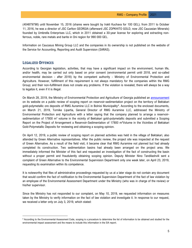(404879798) until November 15, 2016 (shares were bought by Irakli Kuchava for 100 GEL); from 2011 to October 11, 2016, he was a director of JSC Carlton GEORGIA (afterward JSC ZOPKHITO GOLD, now JSC Caucasian Minerals) founded by Umbrella Enterprises LLC, which in 2011 obtained a 30-year license for exploring and extracting nonferrous, noble, rare metals and barite in Oni region for 990 000 GEL.

Information on Caucasus Mining Group LLC and the companies in its ownership is not published on the website of the Service for Accounting, Reporting and Audit Supervision (SARAS).

#### **LEGALIZED OFFENCES**

According to Georgian legislation, activities, that may have a significant impact on the environment, human life, and/or health, may be carried out only based on prior consent (environmental permit until 2018, and so-called environmental decision - after 2018) by the competent authority - Ministry of Environmental Protection and Agriculture. However, fulfillment of this requirement is not always mandatory for the companies within the RMG Group; and their non-fulfillment does not create any problems. If the violation is revealed, there will always be a way to legalize it, even if it is illegal.

On March 28, 2019, the Ministry of Environmental Protection and Agriculture of Georgia published an [announcement](https://mepa.gov.ge/Ge/PublicInformation/12509) on its website on a public review of scoping report on reservoir-sedimentation project on the territory of Bektakari gold-polymetallic ore deposits of RMG Auramine LLC in Bolnisi Municipality<sup>[8](#page-5-0)</sup>. According to the enclosed documents, on March 21, 2019, Tornike Lipartia, General Director of RMG Auramine LLC, addressed the Ministry of Environmental Protection and Agriculture with a letter saying that the company planned to arrange a reservoirsedimentation of 17800 m<sup>3</sup> volume in the vicinity of Bektakari gold-polymetallic deposits and submitted a Scoping Report on the Project of Arrangement a Reservoir-Sedimentation of 17800 m<sup>3</sup>Volume in the Vicinities of Bektakari Gold-Polymetallic Deposits for reviewing and obtaining a scoping opinion.

On April 12, 2019, a public review of scoping report on planned activities was held in the village of Bektakari, also attended by Green Alternative representatives. After the public review, the project site was inspected at the request of Green Alternative. As a result of the field visit, it became clear that RMG Auramine not planned but had already completed its construction. Two sedimentation basins had already been arranged on the project area. We immediately informed the Minister of this fact and requested an investigation of the fact of constructing the basin without a proper permit and fraudulently obtaining scoping opinion. Deputy Minister Nino Tandilashvili sent a complaint of Green Alternative to the Environmental Supervision Department only one week later, on April 23, 2019, requesting its examination within its competence.

It is noteworthy that files of administrative proceedings requested by us at a later stage do not contain any document that would confirm the fact of notification to the Environmental Supervision Department of the fact of law violation by an employee of the Environmental Assessment Department under the Ministry (who was in charge of the review) or his/her supervisor.

Since the Ministry has not responded to our complaint, on May 10, 2019, we requested information on measures taken by the Ministry to verify information on the fact of law violation and investigate it. In response to our request, we received a letter only on July 3, 2019, which stated:

<span id="page-5-0"></span><sup>&</sup>lt;sup>8</sup> According to the Environmental Assessment Code, scoping is a procedure to determine the list of information to be obtained and studied for the environmental impact assessment and the means to include this information in the EIA report;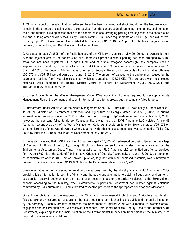1. "On-site inspection revealed that no fertile soil layer has been removed and stockpiled during the land excavation, namely, in the process of placing waste rocks resulted from the construction of tunnel portal entrance, sedimentation basin, and tunnels, building access roads to the construction site, arranging parking area adjacent to the construction site and building other auxiliary facilities by RMG Auramine LLC, under requirements of Article 3 (2) and (5), as well as Paragraph 11 of Government Decree #424 dated December 31, 2013, on Approval of Technical Regulations on Removal, Storage, Use, and Recultivation of Fertile Soil Layer;

2. As stated in letter #185054 of the Public Registry of the Ministry of Justice of May 29, 2019, the ownership right over the adjacent area to the construction site (immovable property) where parking has been arranged (500 m2 area) has not been registered. It is agricultural land of arable category; accordingly, the company uses it inappropriately. Therefore, it was established that RMG Auramine LLC has committed a violation under Articles 51, 512, and 532 of the Code of Administrative Offenses of Georgia. Based on it, protocols of administrative offenses #051570 and #051571 were drawn up on June 18, 2019. The amount of damage to the environment caused by the degradation of land (soil) was also calculated, which amounted to 1105.74 GEL. The protocols with its enclosed materials were submitted to Bolnisi District Court by letters of Department #DES91900038224 and #DES41900038229 on June 27, 2019.

3. Under Article 14 of the Waste Management Code, RMG Auramine LLC was required to develop a Waste Management Plan of the company and submit it to the Ministry for approval, but the company failed to do so.

4. Furthermore, under Article 29 of the Waste Management Code, RMG Auramine LLC was obliged, under Order #2- 11 of the Minister of Environment Protection and Agriculture of Georgia, dated January 9, 2018, to submit information on waste produced in 2018 in electronic form through http//waste.moe.gov.ge until March 1, 2019, however, the company failed to do so. Consequently, it was held that RMG Auramine LLC violated Article 43 (paragraph 2) and Article 44 of the Waste Management Code. As a result, on June 18, 2019, a protocol #051573 on an administrative offense was drawn up which, together with other enclosed materials, was submitted to Tbilisi City Court by letter #DES01900038144 of the Department, dated June 27, 2019.

5. It was also revealed that RMG Auramine LLC has arranged a 17,800 m3 sedimentation basin adjacent to the village of Bektakari in Bolnisi Municipality, though it did not have an environmental decision as envisaged by the Environmental Assessment Code. Thus, it was established that RMG Auramine LLC committed an offense provided for in Article 797 (1) of the Code of Administrative Offenses of Georgia. Accordingly, on June 18, 2019, a protocol on an administrative offense #051572 was drawn up which, together with other enclosed materials, was submitted to Bolnisi District Court by letter #DES11900038172 of the Department, dated June 27, 2019.

Green Alternative further requested information on measures taken by the Ministry against RMG Auramine LLC for providing false information to both the Ministry and the public and attempting to obtain a fraudulently environmental decision for reservoir-sedimentation that had already been arranged on the territory adjacent to the Bektakari ore deposit. According to the Ministry, "the Environmental Supervision Department had reacted against violations committed by RMG Auramine LLC and submitted respective protocols to the appropriate court for consideration."

Since it was obvious from the response of the Ministry of Environmental Protection and Agriculture that its staff failed to take any measures to react against the fact of obtaining permit cheating the public and the public institution by the company, Green Alternative addressed the Department of Internal Audit with a request to examine official negligence and/or corruption deal. We received a response from Jemal Donadze, Deputy Head of the Internal Audit Department, explaining that the main function of the Environmental Supervision Department of the Ministry is to respond to environmental violations.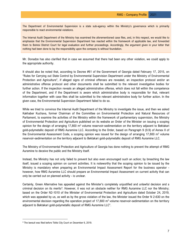The Department of Environmental Supervision is a state sub-agency within the Ministry's governance which is primarily responsible to react environmental violations.

The Internal Audit Department of the Ministry has examined the aforementioned case files, and, in this respect, we would like to emphasize that the Environmental Supervision Department has reacted within the framework of applicable law, and forwarded them to Bolnisi District Court for legal evaluation and further proceedings. Accordingly, the argument given in your letter that nothing had been done to lay the responsibility upon the company is without foundation.

Mr. Donadze has also clarified that in case we assumed that there had been any other violation, we could apply to the appropriate authority.

It should also be noted that, according to Decree #61 of the Government of Georgia dated February 17, 2015, on "Rules for Carrying out State Control by Environmental Supervision Department under the Ministry of Environmental Protection and Agriculture", if alleged signs of criminal offenses are revealed, an inspection protocol and/or an administrative offense protocol and other documents shall be submitted to the relevant investigative bodies for further action. If the inspection reveals an alleged administrative offense, which does not fall within the competence of the Department, and if the Department is aware which administrative body is responsible for that, relevant information together with case files shall be submitted to the relevant administrative body for further action. In the given case, the Environmental Supervision Department failed to do so.

While we tried to convince the Internal Audit Department of the Ministry to investigate the issue, and then we asked Kakhaber Kuchava, former Chairman of the Committee on Environmental Protection and Natural Resources of Parliament, to examine the activities of the Ministry within the framework of parliamentary supervision, the Ministry of Environmental Protection and Agriculture published on its website an Order of the Minister on issuing a scoping opinion for the design of arranging  $17,800$  m<sup>3</sup> volume reservoir-sedimentation on the territory adjacent to Bektakari gold-polymetallic deposit of RMG Auramine LLC. According to the Order, based on Paragraph 9 (9.9) of Annex II of the Environmental Assessment Code, a scoping opinion was issued for the design of arranging 17,800 m<sup>3</sup> volume reservoir-sedimentation on the territory adjacent to Bektakari gold-polymetallic deposit of RMG Auramine LLC.

The Ministry of Environmental Protection and Agriculture of Georgia has done nothing to prevent the attempt of RMG Auramine to deceive the public and the Ministry itself.

Instead, the Ministry has not only failed to prevent but also even encouraged such an action; by breaching the law itself, issued a scoping opinion on current activities. It is noteworthy that the scoping opinion to be issued by the Ministry is mandatory when preparing an Environmental Impact Assessment Report for the business operator however, how RMG Auramine LLC should prepare an Environmental Impact Assessment on current activity that can only be carried out on planned activity - is unclear.

Certainly, Green Alternative has appealed against the Minister's completely unjustified and unlawful decision and a criminal decision on its merits<sup>[9](#page-7-0)</sup>. However, it was not an obstacle neither for RMG Auramine LLC nor the Ministry; based on the Order N2-1010 of the Minister of Environmental Protection and Agriculture dated October 24, 2019, which was appealed by us, as well as by the gross violation of the law, the Minister issued the Order N 2-630 on the environmental decision regarding the operation project of 17,800  $m<sup>3</sup>$  volume reservoir-sedimentation on the territory adjacent to Bektakari gold-polymetallic deposit of RMG Auramine LLC".

<span id="page-7-0"></span><sup>&</sup>lt;sup>9</sup> The lawsuit was filed before Tbilisi City Court on December 6, 2019.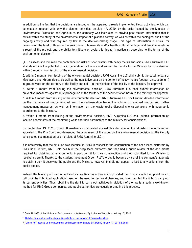In addition to the fact that the decisions are issued on the appealed, already implemented illegal activities, which can be made in respect with only the planned activities, on July 17, 2020, by the order issued by the Minister of Environmental Protection and Agriculture, the company was instructed to provide post factum information that is critical within the study of the environmental impact of a planned activity, as well as within the ecological audit of the ongoing activity and was required by law at the decision-making stage. This type of information is crucial for determining the level of threat to the environment, human life and/or health, cultural heritage, and tangible assets as a result of the project, and the ability to mitigate or avoid this threat. In particular, according to the terms of the environmental decision<sup>10</sup>:

"4. To assess and minimize the contamination risks of shaft waters with heavy metals and acids, RMG Auramine LLC shall determine the potential of acid generation by the ore and submit the results to the Ministry for consideration within 6 months from issuing of the environmental decision.

5. Within 6 months from issuing of the environmental decision, RMG Auramine LLC shall submit the baseline data of Mashavera and Khrami rivers, as well as the qualitative data on the content of heavy metals (copper, zinc, cadmium) in groundwater on the territory of the facility and soil – in the vicinities of the facility to the Ministry for approval.

6. Within 1 month from issuing the environmental decision, RMG Auramine LLC shall submit information on preventive measures against dust propagation at the territory of the sedimentation basin to the Ministry for approval.

7. Within 1 month from issuing of the environmental decision, RMG Auramine LLC shall submit detailed information on the frequency of sludge removal from the sedimentation basin, the volume of removed sludge, and further management measures, as well as information on the waste rocks disposal site (area) along with geographic coordinates to the Ministry.

8. Within 1 month from issuing of the environmental decision, RMG Auramine LLC shall submit information on location coordinates of the monitoring wells and their parameters to the Ministry for consideration".

On September 13, 2020, Green Alternative also appealed against this decision of the Minister; the organization appealed to the City Court and demanded the annulment of the order on the environmental decision on the illegally constructed sedimentation basin project of RMG Auramine LLC<sup>[11](#page-8-1)</sup>.

It is noteworthy that the situation was identical in 2014 in respect to the construction of the heap leach platforms by RMG Gold. At first, RMG Gold has built the heap leach platforms and then had a public review of the documents required for obtaining an environmental impact permit for their construction and then submitted to the Ministry to receive a permit. Thanks to the student movement Green Fist<sup>[12](#page-8-2)</sup>the public became aware of the company's attempts to obtain a permit deceiving the public and the Ministry, however, this did not appear to lead to any actions from the public bodies.

Instead, the Ministry of Environment and Natural Resources Protection provided the company with the opportunity to call back the submitted application based on the need for technical changes; and later, granted the right to carry out its current activities. Thus, obtaining the right to carry out activities in violation of the law is already a well-known method for RMG Group companies, and public authorities are eagerly promoting this practice.

<span id="page-8-0"></span><sup>&</sup>lt;sup>10</sup> Order N 2-630 of the Minister of Environmental protection and Agriculture of Georgia, dated July 17, 2020

<span id="page-8-1"></span><sup>&</sup>lt;sup>11</sup> Detailed information on the dispute is available on the website of Green Alternative.

<span id="page-8-2"></span><sup>&</sup>lt;sup>12</sup> "Green Fist" appeals to the government and releases new photos of Sakdrisi, January 13, 2014, Liberali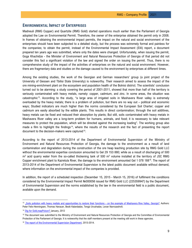# **ENVIRONMENTAL IMPACT OF ENTERPRISES**

Madneuli (RMG Copper) and Quartzite (RMG Gold) started operations much earlier than the Parliament of Georgia adopted the Law on Environmental Permit. Therefore, the owner of the enterprise obtained the permit only in 2008. In frames of obtaining the environmental impact permits, the impact on the natural and social environment of the enterprises should have been subjected to a detailed study, but the process was extremely formal and painless for the companies; to obtain the permit, instead of the Environmental Impact Assessment (EIA) report, a document prepared ten years ago was submitted, where only the dates were changed. Unfortunately, when issuing the permit, Goga Khachidze - the Minister of Environment and Natural Resources Protection of Georgia of that period did not consider this fact a significant violation of the law and signed the order on issuing the permit. Thus, there is no comprehensive study of the impact of the activities of enterprises on the natural and social environment. However, there are fragmentary data and studies on the damage caused to the environment by enterprises at different times.

Among the existing studies, the work of the Georgian and German researchers' group (a joint project of the University of Giessen and Tbilisi State University) is noteworthy. Their research aimed to assess the impact of the ore mining-enrichment plant on the ecosystem and population health of the Bolnisi district. The scientists' conclusion turned out to be alarming: a study covering the period of 2001-2011, showed that more than half of the territory is seriously contaminated with heavy metals, namely: copper, cadmium, and zinc. In some areas, the situation was catastrophic[13.](#page-9-0) According to the study, "a large area of irrigated soils in Mashavera River valley is extremely overloaded by the heavy metals; there is a problem of pollution, but there are no way out – political and economic ways; Studied indicators are much higher than the norms considered by the European Soil Charter; copper and cadmium are easily absorbed by the edible plants. This results in direct contamination; through the soil additives, heavy metals can be fixed and reduced their absorption by plants; But still, soils contaminated with heavy metals in Mashavera River valley are a long-term problem for humans, animals, and food; it is necessary to take relevant measures to protect the population, which will be directed against the increasing loading". The working group also made a film to highlight the findings<sup>[14](#page-9-1)</sup>, where the results of the research and the fact of presenting the report document to the decision-makers were captured<sup>[15](#page-9-2)</sup>.

According to the report of 2013-2014 of the Department of Environmental Supervision of the Ministry of Environment and Natural Resources Protection of Georgia, the damage to the environment as a result of land contamination and degradation during the construction of the ore heap leaching production site by RMG Gold LLC without the environmental expertise conclusion amounted to Gel 29 153 880; while as a result of discharging of 500  $m<sup>3</sup>$  acid quarry water from the so-called thickening tank of 500  $m<sup>3</sup>$  volume installed at the territory of JSC RMG Copper enrichment plant to Kazretula River, the damage to the environment amounted Gel 1 078 188<sup>[16](#page-9-3)</sup>. The report of 2013-2014 of the Department of Environmental Supervision is the latest public document available without demand, where information on the environmental impact of the companies is provided.

In addition, the report of a scheduled inspection (December 15, 2015 - March 15, 2016) of fulfilment the conditions considered by the Environmental Impact Permit №000056 issued for RMG Gold LLC (225359947) by the Department of Environmental Supervision and the norms established by the law in the environmental field is a public document, available upon the demand.

<span id="page-9-0"></span><sup>&</sup>lt;sup>13</sup> .Soils pollution with heavy metlals and opportunities to restore their functions – on the example of Mashavera Rive Valley, Georgia"; Authors: Peter Felix-Henningsen, Thomas Hanauer, Besik Kalandadze, Tengiz Urushadze, Levan Navrozashvili.

<span id="page-9-1"></span><sup>&</sup>lt;sup>14</sup> Dig for Gold, reapPoison? January, 2012

<span id="page-9-2"></span><sup>&</sup>lt;sup>15</sup> The document was submitted to the Ministry of Environment and Natural Resources Protection of Georgia and the Committee of Environmental Protection of the Parliament of Georgia. It is noteworthy that the staff members present at the meeting still work in these agencies.

<span id="page-9-3"></span><sup>&</sup>lt;sup>16</sup> [The report of the Environmental Supervision Department,](http://eiec.gov.ge/%E1%83%97%E1%83%94%E1%83%9B%E1%83%94%E1%83%91%E1%83%98/%E1%83%92%E1%83%90%E1%83%A0%E1%83%94%E1%83%9B%E1%83%9D%E1%83%A1%E1%83%93%E1%83%90%E1%83%AA%E1%83%95%E1%83%98%E1%83%97%E1%83%98-%E1%83%99%E1%83%9D%E1%83%9C%E1%83%A2%E1%83%A0%E1%83%9D%E1%83%9A%E1%83%98/Documents/Report/%E1%83%92%E1%83%96%E1%83%93_%E1%83%90%E1%83%9C%E1%83%92%E1%83%90%E1%83%A0%E1%83%98%E1%83%A8%E1%83%98_2013-2014.aspx) 2013-2014.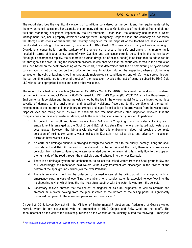The report describes the significant violations of conditions considered by the permit and the requirements set by the environmental legislation. For example, the company did not have a Monitoring (self-monitoring) Plan and did not fulfil the monitoring obligations imposed by the Environmental Action Plan; the company had neither a Waste Management Plan, nor a properly developed and approved Emergency Response Plan; the company did not follow the storage instructions of chemicals; the territory designated for the disposal of the leached ore heaps was not recultivated; according to the conclusion, management of RMG Gold LLC is mandatory to carry out self-monitoring of Cyanide-ions concentration on the territory of the enterprise to ensure the safe environment. Its monitoring is needed in terms of labour safety point of view. Cyanide-ions can cause chronic poisoning in the human body. Although it decomposes rapidly, the evaporation surface (irrigation of heaps, ponds) is so large that its odour can be felt throughout the area. During the inspection process, it was observed that the odour was spread in the production area, and based on the desk processing of the materials, it was determined that the self-monitoring of cyanide-ions concentration is not carried out on the production territory. In addition, during the inspection, when a solution was sprayed on the cells of leaching sites in unfavourable meteorological conditions (strong wind), it was spread through the surrounding territories to the wind direction"; the inspection revealed the fact of using a subsoil by RMG Gold LLC without an appropriate license and some other violations.

The report of a scheduled inspection (December 15, 2015 - March 15, 2016) of fulfilment the conditions considered by the Environmental Impact Permit №000055 issued for JSC RMG Copper (I/C 225358341) by the Department of Environmental Supervision and the norms established by the law in the environmental field, is distinguished not less severity of damage to the environment and described violations. According to the conditions of the permit, management of the enterprise is mandatory to arrange drainages for collection of storm waters from the waste rocks disposal sites and tailing ponds, as well as channels and treatment devices. "the inspection revealed that the company does not have any treatment device, while the other obligations are partly fulfilled. In particular:

- 1. To collect the runoff and leaked waters from №1 and №2 spoil grounds, a water collecting earth embankment is arranged at the Spoil Ground №2, at Kazretula River, where the leaked acid waters are accumulated, however, the lab analysis showed that this embankment does not provide a complete collection of acid quarry waters, water leakage in Kazretula river takes place and adversely impacts on Kazretula River water quality.
- 2. An earth pile drainage channel is arranged through the access road to the quarry, namely, along the spoil grounds №1 and №2. At the end of the channel, on the left side of the road, there is a storm waters collector, from where contaminated waters generated due to the heavy rainfalls, gravity flow to the slope on the right side of the road through the metal pipe and discharge into the river Kazretula.
- 3. There is no drainage system and embankment to collect the leaked waters from the Spoil grounds №3 and Nº4. Accordingly, the mentioned acid waters without any treatment are discharged in the ravines at the bottom of the spoil grounds, which join the river Poladauri.
- 4. There is an embankment for the collection of drained waters at the tailing pond, it is equipped with an emergency pipe. In case of overfilling the embankment, surplus water is expected to overflow into the neighbouring ravine, which joins the river Kazretula together with the water flowing from the collector.
- 5. Laboratory analysis showed that the content of magnesium, calcium, sulphates, as well as bromine and ammonium in water flowing from the pipe installed at the bottom of the tailing pond, is significantly increased compared to the maximum permissible concentration".

On April 2, 2018, Levan Davitashvili - the Minister of Environmental Protection and Agriculture of Georgia visited Kazreti, where he got acquainted with the production of RMG Copper and RMG Gold on the spot<sup>17</sup>. The announcement on the visit of the Minister published on the website of the Ministry, stated the following: "Employees

<span id="page-10-0"></span><sup>&</sup>lt;sup>17</sup> [April 02,2018 | Levan Davitashvili got acquainted](http://www.moe.gov.ge/ka/%E1%83%A1%E1%83%98%E1%83%90%E1%83%AE%E1%83%9A%E1%83%94%E1%83%94%E1%83%91%E1%83%98/2018-04-02-kompania-rmg-is-tsarmoebas-levan) with RMG production process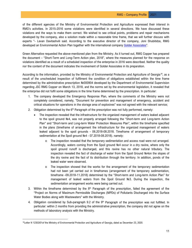of the different agencies of the Ministry of Environmental Protection and Agriculture expressed their interest in RMG's activities. In 2015-2016 some violations were identified in several directions. We have discussed these violations and the ways to make them correct. We wished to see critical points, problems and repair mechanisms developed by the company, also a solution made within a reasonable time frame, that we will further discuss with experts "- Levan Davitashvili said. According to the executive director of the company, Joni Shubitidze, RMG developed an Environmental Action Plan together with the international company Golder [Associates"](https://www.golder.com/).

Green Alternative requested the above-mentioned plan from the Ministry. As it turned out, RMG Copper has prepared the document – "Short-Term and Long-Term Action plan, 2018", where the measures planned for the response on violations identified as a result of a scheduled inspection of the enterprise in 2016 were described. Neither the quality nor the content of the document indicates the involvement of Golder Associates in its preparation.

According to the information, provided by the Ministry of Environmental Protection and Agriculture of Georgia<sup>[18](#page-11-0)</sup>, as a result of the unscheduled inspection of fulfilment the condition of obligations established within the time frame determined by the administrative prescription №000904 developed by the Department of Environmental Supervision regarding JSC RMG Copper on March 13, 2018, and the norms set by the environmental legislation, it revealed that the enterprise did not fulfil some obligations in the time frame determined by the prescription. In particular:

- 1. The company developed the Emergency Response Plan, where the comments of the Ministry were not completely considered, namely, "Document for prevention and management of emergency, accident and critical situations for operations in the storage area of explosives" was not agreed with the relevant service;
- 2. Obligation determined by the  $6<sup>th</sup>$  Paragraph of the prescription was not fully performed, namely:
	- The inspection revealed that the infrastructure for the organized management of waters leaked adjacent to the spoil ground №4, was not properly arranged following the "Short-term and Long-term Action Plan" and "Short-term and Long-term Water Protection Measures Plan", within the timeframe specified in the plans (timeframe of arrangement the infrastructure for the organized management of waters leaked adjacent to the spoil grounds - 06.2018-08.2018. Timeframe of arrangement of temporary sedimentation at the Spoil ground №4 - 07.2018-08.2018). namely:
		- o The inspection revealed that the temporary sedimentation and access road were not arranged. Accordingly, waters coming from the Spoil ground №4 occur in a dry ravine, where only the spoil ground runoff is discharged, and this ravine has no other natural tributary. The inspection revealed the fact of discharge of water from the Spoil Ground №4on the slopes of the dry ravine and the fact of its distribution through the territory. In addition, ponds of the leaked water were observed.
		- $\circ$  The inspection showed that the works for the arrangement of the temporary sedimentation had not been yet carried out in timeframes (arrangement of the temporary sedimentation, timeframe -09.2018-11.2018) determined by the "Short-term and Long-term Action Plan" for management of leaked waters from the Spoil Ground №3. During the inspection, the sedimentation arrangement works were being carried out.
- 3. Within the timeframe determined by the  $8<sup>th</sup>$  Paragraph of the prescription, failed the agreement of the "Project on Norms of Maximum Permissible Discharges (MPDs) of Pollutants Discharged into the Surface Water Bodies along with Wastewaters" with the Ministry.
- 4. Obligation considered by Sub-paragraph 9.2 of the  $9<sup>th</sup>$  Paragraph of the prescription was not fulfilled. In particular: within 2 months from providing the administrative prescription, the company did not agree on the methods of laboratory analysis with the Ministry.

<span id="page-11-0"></span><sup>&</sup>lt;sup>18</sup>Letter N 12353/01of the Ministry of Environmental Protection and Agriculture of Georgia, dated as December 23, 2020.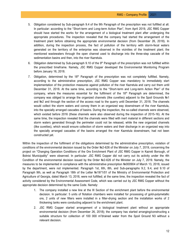- 5. Obligation considered by Sub-paragraph 9.4 of the 9th Paragraph of the prescription was not fulfilled at all. In particular: according to the "Short-term and Long-term Action Plan", from April 2019, JSC RMG Copper should have started the works for the arrangement of a biological treatment plant after undergoing the appropriate procedures. The inspection revealed that the company had started the arrangement of the treatment plant before obtaining the appropriate environmental decision (from December 26, 2018). In addition, during the inspection process, the fact of pollution of the territory with storm-fecal waters generated on the territory of the enterprise was observed in the vicinities of the treatment plant; the mentioned wastewaters through the open channel used to discharge into the three-step cascade of the sedimentation basins and then, into the river Kazretula.
- 6. Obligation determined by Sub-paragraph 9.10 of the  $9<sup>th</sup>$  Paragraph of the prescription was not fulfilled within the prescribed timeframe. Namely, JSC RMG Copper developed the Environmental Monitoring Program before January 16, 2018.
- 7. Obligation, determined by the  $18<sup>th</sup>$  Paragraph of the prescription was not completely fulfilled. Namely, according to the administrative prescription, JSC RMG Copper was mandatory to immediately start implementation of the protection measures against pollution of the river Kazretula and carry out them until December 31, 2018. At the same time, according to the "Short-term and Long-term Action Plan" of the company, where the measures essential for the fulfilment of the  $18<sup>th</sup>$  Paragraph are determined, the company was obliged to arrange the organized channels (like cuvettes) adjacent to the Spoil Grounds №1 and №2 and through the section of the access road to the quarry until December 31, 2018. The channels would collect the storm waters and convey them in an organized way downstream of the river Kazretula, into the specially arranged cascades of basins. During the inspection, the so-called channels were observed, which existed before 2016 (these channels were also observed during the inspection of 2015-16). At the same time, the inspection revealed that the channels were filled with inert material in different sections and storm waters generated through the perimeter could not be released, while the new organized channels (like cuvettes), which would ensure collection of storm waters and their discharge in an organized way into the specially arranged cascades of the basins arranged the river Kazretula downstream, had not been constructed yet.

Within the inspection of the fulfilment of the obligations determined by the administrative prescription, violation of conditions of the environmental decision issued by the Order №2-626 of the Minister on July 7, 2019, concerning the project on "Changing Operation Conditions of the Ore Enrichment Plant of JSC RMG Copper in Kazreti Borough, of Bolnisi Municipality" were observed. In particular: JSC RMG Copper did not carry out its activity under the 4th Condition of the environmental decision issued by the Order №2-626 of the Minister on July 7, 2019. Namely, the measures to be implemented in compliance with the administrative prescription №000904 of March 13, 2018, issued by the department, were not implemented. Paragraph 1st, 6th, 8th, and Sub-paragraphs 9.2, 9.4, and 9.10 of Paragraph 9th, as well as Paragraph 18th of the Letter №1971/01 of the Ministry of Environmental Protection and Agriculture of Georgia, dated March 13, 2018, were not fulfilled; at the same time, the inspection revealed the fact of activity considered by the Environmental Assessment Code, which was carried out by JSC RMG Copper without the appropriate decision determined by the same Code. Namely:

- 1. The company installed a new line at the III Section of the enrichment plant before the environmental decision. In particular: 5 units of flotation chambers were installed for processing of gold-polymetallic ore, 2 units of new filters were installed in a filter-drying section and the installation works of 2 thickening tanks were conducting adjacent to the enrichment plant.
- 2. JSC RMG Copper started arrangement of a biological treatment plant without an appropriate environmental decision (from December 26, 2018); the company has started arranging/constructing a suitable structure for collection of 100 000 m<sup>3</sup>drained water from the Spoil Ground N3 without a relevant decision.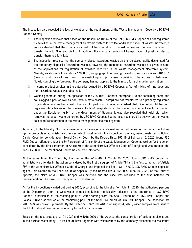The inspection also revealed the fact of violation of the requirement of the Waste Management Code by JSC RMG Copper. Namely:

- 1. The inspection revealed that based on the Resolution №144 of the GoG, JSCRMG Copper has not registered its activities in the waste management electronic system for collection/transportation of wastes, however, it was established that the company carried out transportation of hazardous wastes (outdated batteries) to transfer them to Akas Georgia Ltd. In addition, the company carries out transportation of plastic wastes to transfer them to L.M.Y Ltd;
- 2. The inspection revealed that the company placed hazardous wastes on the registered facility designated for the temporary disposal of hazardous wastes, however, the mentioned hazardous wastes are given in none of the applications for registration of activities recorded in the waste management electronic system. Namely, wastes with the codes - 170505\* (dredging spoil containing hazardous substances) and 161105\* (linings and refractories from non-metallurgical processes containing hazardous substances); Notwithstanding the foregoing, the company has not applied to the Ministry for a change in registration.
- 3. In some production sites in the enterprise owned by JSC RMG Copper, a fact of mixing of hazardous and non-hazardous wastes was observed.
- 4. Wastes generated during the operation of the JSC RMG Copper's enterprise (rubber containing scrap and soil-clogged pipes, as well as non-ferrous metal waste – scrap) are not transferred to a properly registered organization in compliance with the law. In particular, it was established that Obomotori Ltd has not registered its activities on the wastes collection/transportation in the waste management electronic system under the Resolution №144 of the Government of Georgia. It was also revealed that Krial Ltd, which removes the paper waste generated by JSC RMG Copper, has not also registered its activity on the wastes collection/transportation in the waste management electronic system.

According to the Ministry, "for the above-mentioned violations, a relevant authorized person of the Department drew up the protocols of administrative offenses, which together with the inspection materials, were transferred to Bolnisi District Court for consideration. Bolnisi District Court, by the Decree №4/a-152-19 of February 10, 2020, found JSC RMG Copper offender under the 3<sup>rd</sup> Paragraph of Article 40 of the Waste Management Code, as well as for the action considered by the first paragraph of Article 79 of the Administrative Offences Code of Georgia and was imposed the fine – Gel 8000. The mentioned Decree has entered into force.

At the same time, the Court, by the Decree №4/a-154-19 of March 20, 2020, found JSC RMG Copper an administrative offender in the action considered by the first paragraph of Article  $79<sup>2</sup>$  and the first paragraph of Article 798 of the Administrative Offences Code of Georgia and imposed the fine – Gel 15 000. JSC RMG Copper appealed against this Decree to the Tbilisi Court of Appeals. By the Decree №4-a-162-20 of June 19, 2020, of the Court of Appeals, the claim of JSC RMG Copper was satisfied and the case was returned to the first instance for reconsideration. The case is currently under consideration.

As for the inspections carried out during 2020, according to the Ministry, "on July 31, 2020, the authorized persons of the Department took the wastewater samples in Bolnisi municipality, adjacent to the enterprise of JSC RMG Copper. In particular, at the meeting point of water coming from the Spoil Ground N4 of JSC RMG Copper and Poladauri River, as well as at the monitoring point of the Spoil Ground N4 of JSC RMG Copper. The inspection act №005593 was drawn up on-site. By the Letter №DES72000044863 of August 4, 2020, water samples were sent to the LEPL National Environmental Agency for further lab analysis.

Based on the test protocols №101-2020 and №101a-2020 of the Agency, the concentration of pollutants discharged in the surface water body - in Poladauri River together with wastewaters by the company exceeded the maximum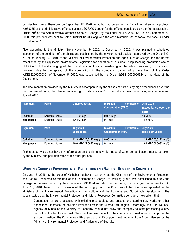permissible norms. Therefore, on September 17, 2020, an authorized person of the Department drew up a protocol №059355 of the administrative offense against JSC RMG Copper for the offense considered by the first paragraph of Article 798 of the Administrative Offences Code of Georgia. By the Letter №DES92000054198, on September 29, 2020, this protocol was sent to Bolnisi District Court along with the case materials. As of today, the case is under consideration."

Also, according to the Ministry, "from November 9, 2020, to December 4, 2020, it was planned a scheduled inspection of the condition of the obligations established by the environmental decision approved by the Order №2- 71, dated January 23, 2019, of the Minister of Environmental Protection and Agriculture of Georgia and the norms established by the applicable environmental legislation for operation of "Sakdrisi" heap leaching production site of RMG Gold LLC and changing of the operation conditions – broadening of the sites (processing of minerals). However, due to the spread of the coronavirus in the company, running of a time limit of the Order №DES82000000321 of November 5, 2020, was suspended by the Order №DES12000000324 of the Head of the Department.

The documentation provided by the Ministry is accompanied by the "Cases of particularly high exceedances over the norm observed during the planned monitoring of surface waters" by the National Environmental Agency in June and July of 2020:

| Ingredient       | <b>Points</b>     | <b>Obtained result</b>                | <b>Maximum</b><br><b>Permissible</b><br><b>Concentration (MPC)</b> | <b>June 2020</b><br>(exceedance over the<br>norm) |
|------------------|-------------------|---------------------------------------|--------------------------------------------------------------------|---------------------------------------------------|
| Cadmium          | Kazretula-Kazreti | $0,0182$ mg/l                         | $0.001$ mg/l                                                       | <b>18 MPC</b>                                     |
| <b>Manganese</b> | Kazretula-Kazreti | 1,4442 mg/l                           | $0.1$ mg/l                                                         | 14,2 MPC                                          |
|                  |                   |                                       |                                                                    |                                                   |
| Ingredient       | <b>Point</b>      | <b>July 2020</b><br><b>Exceedance</b> | Maximum<br><b>Permissible</b><br><b>Concentration (MPC)</b>        | July 2020<br>(Maximum value)                      |
| <b>Cadmium</b>   | Kazretula-Kazreti | 12,3 MPC (0,0123 mg/l)                | $0.001$ mg/l                                                       | 12,3 MPC (0,0123 mg/l)                            |
| <b>Manganese</b> | Kazretula-Kazreti | 10,6 MPC (1.0693 mg/l)                | $0.1$ mg/                                                          | 10,6 MPC (1.0693 mg/l)                            |

At this stage, we do not have any information on the alarmingly high rates of water contamination, measures taken by the Ministry, and pollution rates of the other periods.

# **WORKING GROUP AT ENVIRONMENTAL PROTECTION AND NATURAL RESOURCES COMMITTEE**

On June 13, 2018, by the order of Kakhaber Kuchava – currently, as the Chairman of the Environmental Protection and Natural Resources Committee of the Parliament of Georgia, "a working group was established to study the damage to the environment by the companies RMG Gold and RMG Copper during the mining-extraction works". On June 15, 2018, based on a conclusion of the working group, the Chairman of the Committee appealed to the Ministers of the Environmental Protection and agriculture and the Economy and Sustainable Development. The appeal states that the Environmental Protection and Natural Resources Committee considers it expedient that:

1. Continuation of ore processing with existing methodology and practice and starting new works on other deposits will increase the pollution level and area in the Kvemo Kartli region. Accordingly, the LEPL National Agency of Mines of the Ministry of Economy should not allow the company to start processing a new deposit on the territory of Bneli Khevi until we see the will of the company and real actions to improve the existing situation. The Companies – RMG Gold and RMG Copper must implement the Action Plan set by the Ministry of Environmental Protection and Agriculture of Georgia.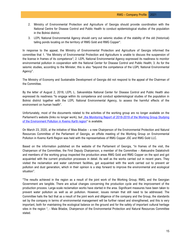- 2. Ministry of Environmental Protection and Agriculture of Georgia should provide coordination with the National Centre for Disease Control and Public Health to conduct epidemiological studies of the population in the Bolnisi district.
- 3. LEPL National Environmental Agency should carry out seismic studies of the stability of the old (historical) tailing ponds locating on the territory of RMG Gold and RMG Copper".

In response to the appeal, the Ministry of Environmental Protection and Agriculture of Georgia informed the committee that 1. "the Ministry of Environmental Protection and Agriculture is unable to discuss the suspension of the license in frames of its competence"; 2. LEPL National Environmental Agency expressed its readiness to monitor environmental pollution in cooperation with the National Center for Disease Control and Public Health; 3. As for the seismic studies, according to the Minister, this is also "beyond the competence of the LGPL National Environmental Agency".

The Ministry of Economy and Sustainable Development of Georgia did not respond to the appeal of the Chairman of the Committee.

By the letter of August 2, 2018, LEPL L. Sakvarelidze National Center for Disease Control and Public Health also expressed its readiness "to engage within its competence and conduct epidemiological studies of the population in Bolnisi district together with the LEPL National Environmental Agency, to assess the harmful effects of the environment on human health".

Unfortunately, most of the documents related to the activities of the working group are no longer available on the Parliament's website (links no longer work), but "the Monitoring Report of 2018-2019 of the Working Group Studying [of the Environment Pollution in Kvemo Kartli region"](http://www.parliament.ge/uploads/other/134/134783.pdf) is available.

On March 23, 2020, at the initiative of Maia Bitadze – a new Chairperson of the Environmental Protection and Natural Resources Committee of the Parliament of Georgia, an offsite meeting of the Working Group on Environmental Pollution in Kvemo Kartli Region was held with the representatives of RMG Copper JSC and RMG Gold LLC.

Based on the information published on the website of the Parliament of Georgia, "in frames of the visit, the Chairperson of the Committee, the First Deputy Chairperson, a member of the Committee – Aleksandre Dalakishvili and members of the working group inspected the production areas RMG Gold and RMG Copper on the spot and got acquainted with the current production processes in detail. As well as the works carried out in recent years. They visited the reclamation and water catchment facilities, got acquainted with the work carried out to prevent air pollution and dust generation, which in their opinion is a step forward to improve the environmental and ecological situation".

"The results achieved in the region as a result of the joint work of the Working Group, RMG, and the Georgian Government are tangible. There are actual changes concerning the production cycle and the improvement of the production process. Large-scale reclamation works have started in the area. Significant measures have been taken to prevent water pollution as well as air pollution. However, issues remain that still need to be addressed. The Committee hails the fact that as a result of the joint work and diligence of the company and the Group, the standards set by the company in terms of environmental management will be further raised and strengthened, and this is very important, both for maintaining the ecological balance on the ground and for the safety of important cultural heritage sites in the region ", - Maia Bitadze, Chairperson of the Environmental Protection and Natural Resources Committee stated.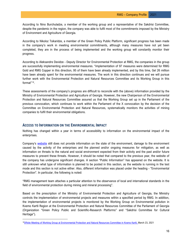According to Nino Burchuladze, a member of the working group and a representative of the Sakdrisi Committee, despite the pandemic in the region, the company was able to fulfil most of the commitments imposed by the Ministry of Environment and Agriculture of Georgia.

According to Nikoloz Tsikaridze, a member of the Green Policy Public Platform, significant progress has been made in the company's work in meeting environmental commitments, although many measures have not yet been completed, they are in the process of being implemented and the working group will constantly monitor their progress.

According to Aleksandre Devidze - Deputy Director for Environmental Protection at RMG, the companies in the group are successfully implementing environmental measures. "implementation of 97 measures were determined for RMG Gold and RMG Copper in this direction, 95 of them have been already implemented, and by this time, Gel 26 million have been already spent for the environmental measures. The work in this direction continues and we will pursue further work with the Environmental Protection and Natural Resources Committee and its Working Group in this format"[19](#page-16-0).

These assessments of the company's progress are difficult to reconcile with the (above) information provided by the Ministry of Environmental Protection and Agriculture of Georgia. However, the new Chairperson of the Environmental Protection and Natural Resources Committee assured us that the Working Group set up in the Parliament of the previous convocation, which continues to work within the Parliament of the X convocation by the decision of the Committee on Environmental Protection and Natural Resources, systematically monitors the activities of mining companies to fulfil their environmental obligations.

#### **ACCESS TO INFORMATION ON THE ENVIRONMENTAL IMPACT**

Nothing has changed within a year in terms of accessibility to information on the environmental impact of the enterprises.

Company's [website](https://www.richmetalsgroup.com/) still does not provide information on the state of the environment, damage to the environment caused by the activity of the enterprises and the planned and/or ongoing measures for mitigation, as well as information on threats to the natural and social environment expected from their activity and the past and/or future measures to prevent these threats. However, it should be noted that compared to the previous year, the website of the company has undergone significant changes. A section "Public Information" has appeared on the website. It is still unknown what type of information is planned to be posted in this section, as the website is running in the test mode and this section is not active either. Also, different information was placed under the heading - "Environmental Protection". In particular, the following is noted:

"RMG management team attaches a particular attention to the observance of local and international standards in the field of environmental protection during mining and mineral processing".

Based on the prescription of the Ministry of Environmental Protection and Agriculture of Georgia, the Ministry controls the implementation of environmental projects and measures within a specified period by RMG. In addition, the implementation of environmental projects is monitored by the Working Group on Environmental pollution in Kvemo Kartli Region at the Environmental Protection and Natural Resources Committee of the Parliament of Georgia (Organization "Green Policy Public and Scientific-Research Platforms" and "Sakdrisi Committee for Cultural Heritage").

<span id="page-16-0"></span><sup>1</sup>[9Offsite Meeting of Working Group at Environmental Protection and Natural Resources Committee in Kvemo Kartli, M](http://www.parliament.ge/ge/saparlamento-saqmianoba/komitetebi/garemos-dacvisa-da-bunebrivi-resursebis-komiteti/gonisdziebebi/gonisdziebebi1/axali-ambebi-garemo/fi000045.page.htm)arch 23, 2021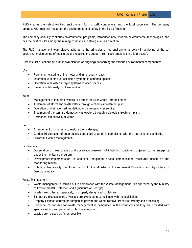RMG creates the safest working environment for its staff, contractors, and the local population. The company operates with minimal impact on the environment and safety in the field of mining.

The company annually continues environmental programs, introduces new, modern environmental technologies, and has the best results among the mining companies in Georgia in this direction.

The RMG management team always adheres to the principles of the environmental policy in achieving of the set goals and implementing of measures and requires the support from each employee in this process".

Here is a list of actions (it is unknown planned or ongoing) concerning the various environmental components:

..Air

- Permanent watering of the motor and inner quarry roads;
- Operation with air-dust collection systems in confined spaces;
- Operation with water sprayer systems in open spaces;
- Systematic lab analysis of ambient air.

#### **Water**

- Management of industrial waters to protect the river water from pollution;
- Treatment of storm and wastewaters through a chemical treatment plant;
- Operation of drainage, sedimentation, and emergency reservoirs;
- Treatment of the sanitary-domestic wastewaters through a biological treatment plant;
- Permanent lab analysis of water.

#### Soil

- Arrangement of a nursery to restore the landscape;
- Gradual Reclamation of open quarries and spoil grounds in compliance with the international standards;
- Hazardous waste management.

#### Biodiversity

- Observation on tree species and observation/research of inhabiting specimens adjacent to the enterprise under the monitoring program;
- Development-implementation of additional mitigation or/and compensation measures based on the monitoring results;
- Submit a biodiversity monitoring report to the Ministry of Environmental Protection and Agriculture of Georgia annually.

Waste Management

- Waste management is carried out in compliance with the Waste Management Plan approved by the Ministry of Environmental Protection and Agriculture of Georgia;
- Wastes are collected separately, in properly designated containers;
- Temporary disposal sites of wastes are arranged in compliance with the legislation;
- Properly licensed contractor companies provide the waste removal from the territory and processing;
- Personnel responsible for waste management is designated in the company and they are provided with special clothing and personal protective equipment;
- Wastes are re-used as far as possible.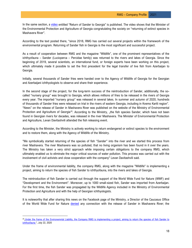In the same section, a [video](https://youtu.be/jJseyOCTzsc) entitled "Return of Sander to Georgia" is published. The video shows that the Minister of the Environmental Protection and Agriculture of Georgia congratulating the society on "returning of extinct species in Mashavera River".

According to the text posted there, "since 2018, RMG has carried out several projects within the framework of the environmental program. Returning of Sander fish in Georgia is the most significant and successful project.

As a result of cooperation between RMG and the magazine "Wildlife", one of the prominent representatives of the ichthyofauna – Sander (Lucioperca – Percidae family) was returned to the rivers and lakes of Georgia. Since the beginning of 2019, several scientists, an international fund, or foreign experts have been working on this project, which ultimately made it possible to set the first precedent for the legal transfer of live fish from Azerbaijan to Georgia.

Initially, several thousands of Sander fries were handed over to the Agency of Wildlife of Georgia for the Georgian and Azerbaijani ichthyologists to observe and share their experience.

In the second stage of the project, for the long-term success of the reintroduction of Sander, additionally, the socalled "nursery group" was brought to Georgia, which allows millions of fries to be released in the rivers of Georgia every year. The imported "nursery group" was released in several lakes. In summer and autumn of 2020, hundreds of thousands of Sander fries were released on trial in the rivers of eastern Georgia, including in Kvemo Kartli region". "News" on the release of Sander in Mashavera River was published on the website of the Ministry of Environmental Protection and Agriculture of Georgia<sup>[20](#page-18-0)</sup>. According to the Ministry, "the fish species Sander, which have not been found in Georgian rivers for decades, was released in the river Mashavera. The Minister of Environmental Protection and Agriculture, Levan Davitashvili attended the fish releasing event.

According to the Minister, the Ministry is actively working to return endangered or extinct species to the environment and to restore them, along with the Agency of Wildlife of the Ministry.

"We symbolically started returning of the species of fish ''Sander'' into the river and we started this process from river Mashavera. The river Mashavera was so polluted, that no living organism has been found in it over the years. The Ministry has taken a very strict approach while imposing certain obligations to the company RMG, which ultimately enabled us to eliminate the major critical sources of water pollution. This process was carried out with the involvement of civil activists and close cooperation with the company" Levan Davitashvili said.

Under the frame of environmental liability, the company RMG, along with the magazine "Wildlife" is implementing a project, aiming to return the species of fish Sander to ichthyofauna, into the rivers and lakes of Georgia.

The reintroduction of fish Sander is carried out through the support of the World Wide Fund for Nature (WWF) and "Development and the Environment''. Moreover, up to 1000 small-sized fish, Sander was imported from Azerbaijan. For the first time, the fish Sander was propagated by the Wildlife Agency included in the Ministry of Environmental Protection and Agriculture and with the help of Georgian ichthyologists.

It is noteworthy that after sharing this news on the Facebook page of the Ministry, a Director of the Caucasus Office of the World Wide Fund for Nature [denied](https://www.facebook.com/nugzar.zazanashvili/posts/10158648765944939) any connection with the release of Sander in Mashavera River; the

<span id="page-18-0"></span><sup>&</sup>lt;sup>20</sup> Under the frame of the Environemntal Liability, the Company RMG is implementing a project, aiming to return the species of fish Sander to [ichthyofauna "](https://mepa.gov.ge/Ge/News/Details/19032), July 22, 2020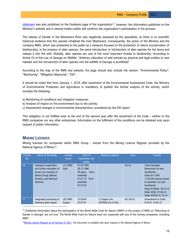[statement](https://www.facebook.com/WWFGeorgia/posts/3188738127815345/) was also published on the Facebook page of the organization<sup>21</sup>, however, the information published on the Ministry's website and in several media outlets still confirms the organization's participation in the process.

The release of Sander in the Mashavera River was negatively assessed by the specialists, as there is no scientific historical evidence that this species inhabited the river Mashavera. Consequently, the action of the Ministry and the company RMG, which was presented to the public as a measure focused on the protection of nature (conservation of biodiversity), is the invasion of alien species, the same introduction or introduction of alien species for the fauna and release it into the wild. Globally, alien species are one of the most important threats to biodiversity. According to Article 23 of the Law of Georgia on Wildlife, "Arbitrary relocation of wild animals by physical and legal entities to new habitats and the introduction of alien species into the wildlife of Georgia is prohibited"

According to the map of the RMG test website, the page should also include the section: "Environmental Policy", "Monitoring", "Mitigation Measures", "EIA".

It should be noted that from January 1, 2018, after enactment of the Environmental Assessment Code, the Ministry of Environmental Protection and Agriculture is mandatory to publish the further analysis of the activity, which includes the following:

- a) Monitoring of conditions and mitigation measures;
- b) Analysis of impact on the environment due to the activity;
- c) Assessment changes in environmental characteristics considered by the EIA report.

This obligation is not fulfilled even at the end of the second year after the enactment of the Code - neither to the RMG companies nor any other enterprises. Information on the fulfilment of the conditions can be obtained only upon request of public information.

# **MINING LICENSES**

Mining licenses for companies within RMG Group - extract from the Mining Licence Register provided by the National Agency of Mines<sup>[22](#page-19-1)</sup>.

| License   | Name of the facility                                                                                                                           | License                  | Term of                                                                                              | Resource volume                      | Area      | <b>Transfer</b>                                                                                                                                                                                                  |
|-----------|------------------------------------------------------------------------------------------------------------------------------------------------|--------------------------|------------------------------------------------------------------------------------------------------|--------------------------------------|-----------|------------------------------------------------------------------------------------------------------------------------------------------------------------------------------------------------------------------|
| <b>No</b> |                                                                                                                                                | holder                   | registration and<br>validity                                                                         |                                      |           |                                                                                                                                                                                                                  |
| 10        | Geological exploration<br>and further extraction of<br>known ore minerals of<br>Bolnisi Group (Bolnisi,<br>Dmanisi, and Marneuli<br>districts) | <b>LLC RMG</b><br>Gold   | 07.04.1994<br>30.12.1996<br>20 years<br>Term<br>extended<br>01.01.15<br>Term<br>extended<br>01.01.20 |                                      | 9.0 ha    | Trans-Georgian<br>Resources Ltd was<br>transferred<br>Order #1-1/291<br>11.02.09 License issued<br>to Quartzite LLC was<br>transferred<br>Order #13/544 30.10.12<br>Order #245 07.04.14<br>Order #478/b 31.12.14 |
| 11        | Integrated processing of<br>Madneuli gold-copper-                                                                                              | <b>JSC RMG</b><br>Copper | 12.04.94<br>23.07.97                                                                                 | 1) Copper ore-<br>5070000 (Cu-0.35%, | 421.45 ha | Amendment to Order<br>#13/15, 14.05.12.                                                                                                                                                                          |

<span id="page-19-0"></span> $21$ <sub>n</sub>Published information about the participation of the World Wide Fund for Nature (WWF) in the project of RMG on "Returning of Sander in Georgia" are not true. The World Wide Fund for Nature does not cooperate with any of the mining companies, including RMG".

<span id="page-19-1"></span> $^{22}$ Mining Licence Register as of February 9, 2021. The document is available only upon request in the National Agency of Mines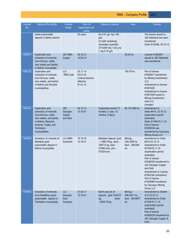| License<br><b>No</b> | Name of the facility                                                                                                                                                                   | License<br>holder                            | Term of<br>registration and<br>validity                         | Resource volume                                                                                                        | Area                                              | <b>Transfer</b>                                                                                                                                                                                                                                                                                                                        |
|----------------------|----------------------------------------------------------------------------------------------------------------------------------------------------------------------------------------|----------------------------------------------|-----------------------------------------------------------------|------------------------------------------------------------------------------------------------------------------------|---------------------------------------------------|----------------------------------------------------------------------------------------------------------------------------------------------------------------------------------------------------------------------------------------------------------------------------------------------------------------------------------------|
|                      | barite-polymetallic<br>deposit in Bolnisi district                                                                                                                                     |                                              | 20 years                                                        | Au-0.41 g/t, Ag-1.68<br>g/t)<br>2) Gold containing<br>secondary quartzite-<br>2713200 (Au-1.02 g to<br>t, Ag-5.15 g/t) |                                                   | The license issued to<br><b>JSC Madneuli has been</b><br>transferred<br>Order #13/546, 30.10.12                                                                                                                                                                                                                                        |
| 1000874              | <b>Exploration and</b><br>extraction of minerals<br>(non-ferrous, noble,<br>rare metals and barite)<br>in Bolnisi municipality                                                         | <b>JSC RMG</b><br>Copper                     | 30.10.12<br>12.04.14                                            |                                                                                                                        | 26.28 ha                                          | License #1000281<br>issued to JSC Madneuli<br>was transferred                                                                                                                                                                                                                                                                          |
| 1002122              | Exploration and<br>extraction of minerals<br>(non-ferrous, noble,<br>rare metals, and barite)<br>in Bolnisi and Dmanisi<br>municipalities                                              | LLC<br><b>RMG Gold</b>                       | 25.11.14<br>02.01.42<br>License became<br>effective<br>01.01.15 |                                                                                                                        | 193.76 ha                                         | Part of license<br>#1000577 transferred<br>by Mining Investments<br><b>LLC</b><br>Amendment to license<br>#1001028<br>Amendment to license<br>#1001539 issued to<br>Mining Investments<br><b>Gold LLC</b><br>(merger)                                                                                                                  |
| 1003161              | <b>Exploration and</b><br>extraction of minerals<br>(non-ferrous, noble,<br>rare metals, and barite)<br>in Bolnisi, Marneuli,<br>Dmanisi, Tsalka, and<br>Tetritskaro<br>municipalities | <b>JSC</b><br>Georgian<br>Copper<br>and Gold | 04.12.15<br>13.10.41                                            | <b>Exploration period 72</b><br>months (1 year, 10<br>months, 8 days)                                                  | 86 107.669 ha                                     | Amendment to<br>Order #414, 23.10.13<br>(exploration period<br>extended)<br>Order #1784/10.11.15<br>Part of license<br>#1000226 was<br>transferred by Caucasus<br>Mining Group LLC                                                                                                                                                     |
| 1004034              | Extraction of minerals of<br>Bektakari gold-<br>polymetallic deposit in<br><b>Bolnisi municipality</b>                                                                                 | <b>LLC RMG</b><br>Auramine                   | 19.10.16<br>13.10.41                                            | Bektakari deposit: gold<br>- 11987.87kg, silver -<br>108712 kg, lead -<br>27448 tons, zinc -<br>57528 tons             | Mining -<br>345,7939 ha<br>land - 309,849<br>ha   | Amendment to Order<br>#414 23.10.13<br>Amendment to Order<br>#1784/10.11.15<br>(exploration period<br>extended)<br>Part of license<br>#1000226 transferred to<br><b>JSC Georgian Copper</b><br>and Gold<br>Amendment to License<br>#1003160 (extraction)<br>Part of license<br>#1003998 transferred<br>by Caucasus Mining<br>Group LLC |
| 1004600              | <b>Extraction of minerals</b><br>from BneliKhevi gold-<br>polymetallic deposit in<br>Tetritskaro municipality                                                                          | <b>LLC</b><br>Georgian<br>Gold<br>Company    | 31.05.17<br>13.10.41                                            | North-east pit of<br>deposit - gold 1635.07<br>kg,<br>silver<br>- 8503.79 kg                                           | Mining -<br>239.4021 ha,<br>land - 504.6677<br>ha | Amendment to Order#<br>414 23.10.13.<br>Amendment to Order<br>#1784/10.11.15<br>(exploration period<br>extended)                                                                                                                                                                                                                       |

Part of license #1000226 transferred to JSC Georgian Copper &

Gold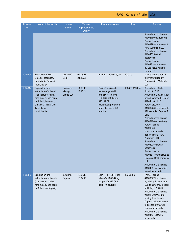| ofile |  |
|-------|--|
|       |  |
|       |  |

| License<br><b>No</b> | Name of the facility                                                                                                                                                                   | License<br>holder               | Term of<br>registration and<br>validity | Resource volume                                                                                                                                                         | Area           | <b>Transfer</b>                                                                                                                                                                                                                                                                                                                                                                                                                                                                                                                                  |
|----------------------|----------------------------------------------------------------------------------------------------------------------------------------------------------------------------------------|---------------------------------|-----------------------------------------|-------------------------------------------------------------------------------------------------------------------------------------------------------------------------|----------------|--------------------------------------------------------------------------------------------------------------------------------------------------------------------------------------------------------------------------------------------------------------------------------------------------------------------------------------------------------------------------------------------------------------------------------------------------------------------------------------------------------------------------------------------------|
| 1005299              | <b>Extraction of Didi</b>                                                                                                                                                              | <b>LLC RMG</b>                  | 07.03.18                                | minimum 90000 t/year                                                                                                                                                    | 10.0 ha        | Amendment to license<br>#1003160 (extraction)<br>Part of license<br>#1003998 transferred to<br><b>RMG Auramine LLC</b><br>Amendment to license<br>#1004035 (stocks<br>approved)<br>Part of license<br>#1004318 transferred<br>by Caucasus Mining<br><b>Group LLC</b><br>Mining license #0673                                                                                                                                                                                                                                                     |
|                      | Dmanisi secondary<br>quartzite in Dmanisi<br>municipality                                                                                                                              | Gold                            | 21.12.25                                |                                                                                                                                                                         |                | fully transferred by<br><b>Construction Materials</b><br><b>LLC</b>                                                                                                                                                                                                                                                                                                                                                                                                                                                                              |
| 1005314              | <b>Exploration and</b><br>extraction of minerals<br>(non-ferrous, noble,<br>rare metals, and barite)<br>in Bolnisi, Marneuli,<br>Dmanisi, Tsalka, and<br>Tetritskaro<br>municipalities | Caucasus<br>Mining<br>Group LLC | 14.03.18<br>13.10.41                    | David-Gareji gold-<br>barite-polymetallic<br>ore: silver -108.93 t<br>(108930 kg), barite -<br>895191.59 t,<br>exploration period on<br>other districts - 120<br>months | 100865.4594 ha | Amendment, Order<br>#414 23.10.13<br>Amendment (exploration<br>period extended), Order<br>#1784 /10.11.15<br>Part of License<br>#1000226 transferred to<br>JSC Georgian Copper &<br>Gold<br>Amendment to license<br>#1003160 (extraction)<br>Part of license<br>#1003998<br>(stocks approved)<br>transferred to RMG<br>Auramine LLC<br>Amendment to license<br>#1004035 (stocks<br>approved)<br>Part of license<br>#1004318 transferred to<br>Georgian Gold Company<br>Ltd<br>Amendment to license<br>#1004601 (exploration<br>period extended)- |
| 1005456              | Exploration and<br>extraction of minerals<br>(non-ferrous, noble,<br>rare metals, and barite)<br>in Bolnisi municipality                                                               | <b>JSC RMG</b><br>Copper        | 10.05.18<br>16.04.41                    | Gold - 1804.6912 kg;<br>silver-64 900.344 kg;<br>copper -26815.06 t;<br>gold - 1691.16kg                                                                                | 1035.5 ha      | Part of license<br>#1000577 transferred<br>by Mining Investments<br>LLC to JSC RMG Copper<br>until July 12, 2014<br>Amendment to license<br>#1001030 issued to<br>Mining Investments<br>Copper Ltd Amendment<br>to license #1002121<br>(stocks approved)<br>Amendment to license<br>#1004727 (stocks<br>approved)                                                                                                                                                                                                                                |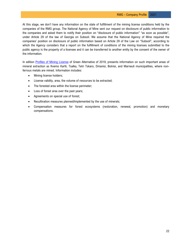At this stage, we don't have any information on the state of fulfillment of the mining license conditions held by the companies of the RMG group. The National Agency of Mine sent our request on disclosure of public information to the companies and asked them to notify their position on "disclosure of public information" "as soon as possible", under Article 29 of the law of Georgia on Subsoil. We assume that the National Agency of Mine required the companies' position on disclosure of public information based on Article 29 of the Law on "Subsoil", according to which the Agency considers that a report on the fulfillment of conditions of the mining licenses submitted to the public agency is the property of a licensee and it can be transferred to another entity by the consent of the owner of the information.

In edition [Profiles of Mining License](http://greenalt.org/wp-content/uploads/2019/09/ciagia_mopovebis_licenziantebis_profilebi.pdf) of Green Alternative of 2019, presents information on such important areas of mineral extraction as Kvemo Kartli, Tsalka, Tetri Tskaro, Dmanisi, Bolnisi, and Marneuli municipalities, where nonferrous metals are mined. Information includes:

- Mining license holders;
- License validity, area, the volume of resources to be extracted;
- The forested area within the license perimeter;
- Loss of forest area over the past years;
- Agreements on special use of forest;
- Recultivation measures planned/implemented by the use of minerals;
- Compensation measures for forest ecosystems (restoration, renewal, promotion) and monetary compensations.